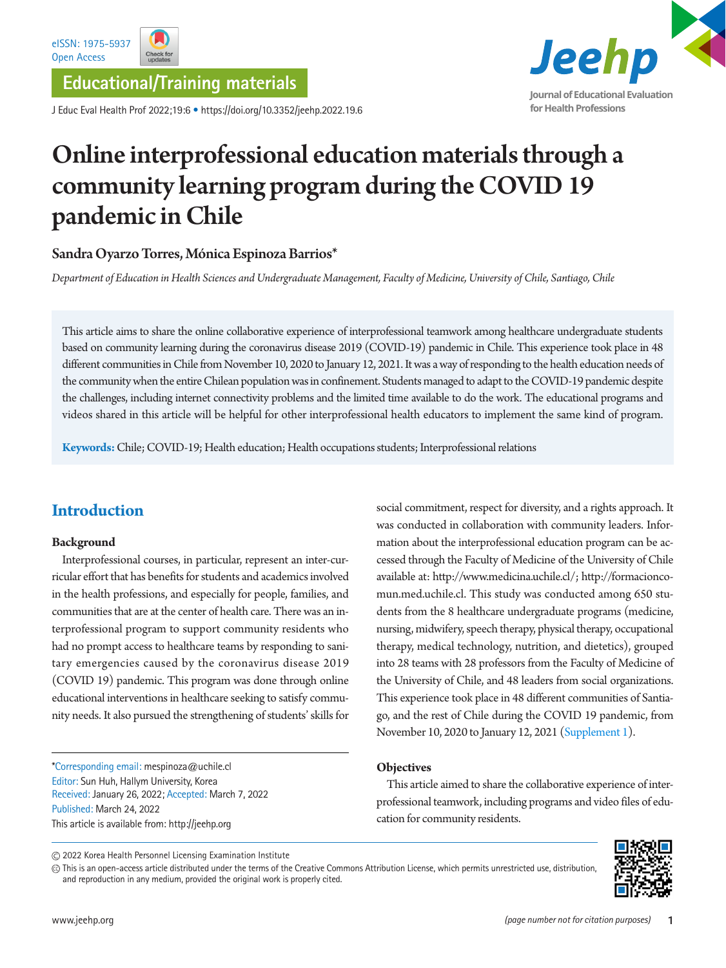**Educational/Training materials**

J Educ Eval Health Prof 2022;19:6 • https://doi.org/10.3352/jeehp.2022.19.6



# Online interprofessional education materials through a community learning program during the COVID 19 pandemic in Chile

## Sandra Oyarzo Torres, Mónica Espinoza Barrios\*

*Department of Education in Health Sciences and Undergraduate Management, Faculty of Medicine, University of Chile, Santiago, Chile*

This article aims to share the online collaborative experience of interprofessional teamwork among healthcare undergraduate students based on community learning during the coronavirus disease 2019 (COVID-19) pandemic in Chile. This experience took place in 48 different communities in Chile from November 10, 2020 to January 12, 2021. It was a way of responding to the health education needs of the community when the entire Chilean population was in confinement. Students managed to adapt to the COVID-19 pandemic despite the challenges, including internet connectivity problems and the limited time available to do the work. The educational programs and videos shared in this article will be helpful for other interprofessional health educators to implement the same kind of program.

**Keywords:** Chile; COVID-19; Health education; Health occupations students; Interprofessional relations

# **Introduction**

#### **Background**

Interprofessional courses, in particular, represent an inter-curricular effort that has benefits for students and academics involved in the health professions, and especially for people, families, and communities that are at the center of health care. There was an interprofessional program to support community residents who had no prompt access to healthcare teams by responding to sanitary emergencies caused by the coronavirus disease 2019 (COVID 19) pandemic. This program was done through online educational interventions in healthcare seeking to satisfy community needs. It also pursued the strengthening of students' skills for

\*Corresponding email: mespinoza@uchile.cl Editor: Sun Huh, Hallym University, Korea Received: January 26, 2022; Accepted: March 7, 2022 Published: March 24, 2022 This article is available from: http://jeehp.org

social commitment, respect for diversity, and a rights approach. It was conducted in collaboration with community leaders. Information about the interprofessional education program can be accessed through the Faculty of Medicine of the University of Chile available at: [http://www.medicina.uchile.cl/;](http://www.medicina.uchile.cl/) [http://formacionco](http://formacioncomun.med.uchile.cl)[mun.med.uchile.cl.](http://formacioncomun.med.uchile.cl) This study was conducted among 650 students from the 8 healthcare undergraduate programs (medicine, nursing, midwifery, speech therapy, physical therapy, occupational therapy, medical technology, nutrition, and dietetics), grouped into 28 teams with 28 professors from the Faculty of Medicine of the University of Chile, and 48 leaders from social organizations. This experience took place in 48 different communities of Santiago, and the rest of Chile during the COVID 19 pandemic, from November 10, 2020 to January 12, 2021 [\(Supplement 1](#page-2-0)).

#### **Objectives**

This article aimed to share the collaborative experience of interprofessional teamwork, including programs and video files of education for community residents.

This is an open-access article distributed under the terms of the Creative Commons Attribution License, which permits unrestricted use, distribution, and reproduction in any medium, provided the original work is properly cited.



<sup>2022</sup> Korea Health Personnel Licensing Examination Institute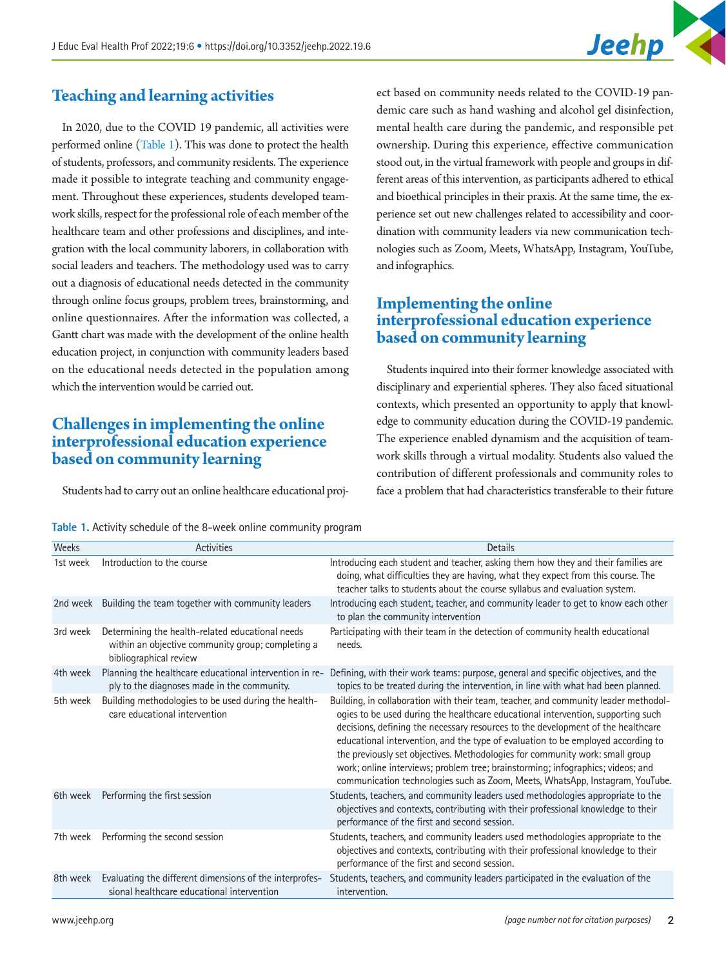

## **Teaching and learning activities**

In 2020, due to the COVID 19 pandemic, all activities were performed online [\(Table 1](#page-1-0)). This was done to protect the health of students, professors, and community residents. The experience made it possible to integrate teaching and community engagement. Throughout these experiences, students developed teamwork skills, respect for the professional role of each member of the healthcare team and other professions and disciplines, and integration with the local community laborers, in collaboration with social leaders and teachers. The methodology used was to carry out a diagnosis of educational needs detected in the community through online focus groups, problem trees, brainstorming, and online questionnaires. After the information was collected, a Gantt chart was made with the development of the online health education project, in conjunction with community leaders based on the educational needs detected in the population among which the intervention would be carried out.

## **Challenges in implementing the online interprofessional education experience based on community learning**

Students had to carry out an online healthcare educational proj-

ect based on community needs related to the COVID-19 pandemic care such as hand washing and alcohol gel disinfection, mental health care during the pandemic, and responsible pet ownership. During this experience, effective communication stood out, in the virtual framework with people and groups in different areas of this intervention, as participants adhered to ethical and bioethical principles in their praxis. At the same time, the experience set out new challenges related to accessibility and coordination with community leaders via new communication technologies such as Zoom, Meets, WhatsApp, Instagram, YouTube, and infographics.

## **Implementing the online interprofessional education experience based on community learning**

Students inquired into their former knowledge associated with disciplinary and experiential spheres. They also faced situational contexts, which presented an opportunity to apply that knowledge to community education during the COVID-19 pandemic. The experience enabled dynamism and the acquisition of teamwork skills through a virtual modality. Students also valued the contribution of different professionals and community roles to face a problem that had characteristics transferable to their future

<span id="page-1-0"></span>

| Table 1. Activity schedule of the 8-week online community program |
|-------------------------------------------------------------------|
|-------------------------------------------------------------------|

| Weeks    | <b>Activities</b>                                                                                                               | <b>Details</b>                                                                                                                                                                                                                                                                                                                                                                                                                                                                                                                                                                                      |
|----------|---------------------------------------------------------------------------------------------------------------------------------|-----------------------------------------------------------------------------------------------------------------------------------------------------------------------------------------------------------------------------------------------------------------------------------------------------------------------------------------------------------------------------------------------------------------------------------------------------------------------------------------------------------------------------------------------------------------------------------------------------|
| 1st week | Introduction to the course                                                                                                      | Introducing each student and teacher, asking them how they and their families are<br>doing, what difficulties they are having, what they expect from this course. The<br>teacher talks to students about the course syllabus and evaluation system.                                                                                                                                                                                                                                                                                                                                                 |
| 2nd week | Building the team together with community leaders                                                                               | Introducing each student, teacher, and community leader to get to know each other<br>to plan the community intervention                                                                                                                                                                                                                                                                                                                                                                                                                                                                             |
| 3rd week | Determining the health-related educational needs<br>within an objective community group; completing a<br>bibliographical review | Participating with their team in the detection of community health educational<br>needs.                                                                                                                                                                                                                                                                                                                                                                                                                                                                                                            |
| 4th week | Planning the healthcare educational intervention in re-<br>ply to the diagnoses made in the community.                          | Defining, with their work teams: purpose, general and specific objectives, and the<br>topics to be treated during the intervention, in line with what had been planned.                                                                                                                                                                                                                                                                                                                                                                                                                             |
| 5th week | Building methodologies to be used during the health-<br>care educational intervention                                           | Building, in collaboration with their team, teacher, and community leader methodol-<br>ogies to be used during the healthcare educational intervention, supporting such<br>decisions, defining the necessary resources to the development of the healthcare<br>educational intervention, and the type of evaluation to be employed according to<br>the previously set objectives. Methodologies for community work: small group<br>work; online interviews; problem tree; brainstorming; infographics; videos; and<br>communication technologies such as Zoom, Meets, WhatsApp, Instagram, YouTube. |
| 6th week | Performing the first session                                                                                                    | Students, teachers, and community leaders used methodologies appropriate to the<br>objectives and contexts, contributing with their professional knowledge to their<br>performance of the first and second session.                                                                                                                                                                                                                                                                                                                                                                                 |
| 7th week | Performing the second session                                                                                                   | Students, teachers, and community leaders used methodologies appropriate to the<br>objectives and contexts, contributing with their professional knowledge to their<br>performance of the first and second session.                                                                                                                                                                                                                                                                                                                                                                                 |
| 8th week | Evaluating the different dimensions of the interprofes-<br>sional healthcare educational intervention                           | Students, teachers, and community leaders participated in the evaluation of the<br>intervention.                                                                                                                                                                                                                                                                                                                                                                                                                                                                                                    |